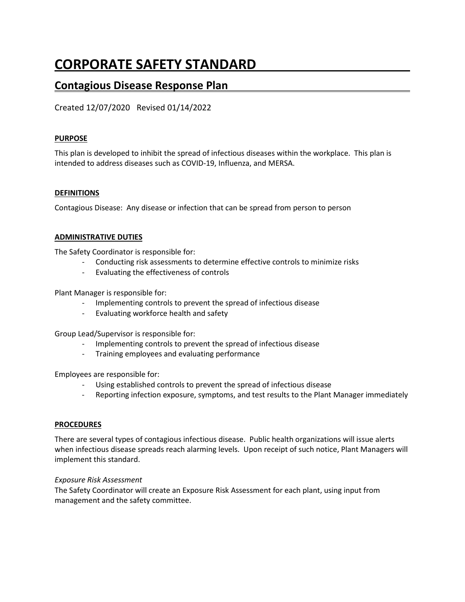# **CORPORATE SAFETY STANDARD**

# **Contagious Disease Response Plan**

Created 12/07/2020 Revised 01/14/2022

#### **PURPOSE**

This plan is developed to inhibit the spread of infectious diseases within the workplace. This plan is intended to address diseases such as COVID-19, Influenza, and MERSA.

#### **DEFINITIONS**

Contagious Disease: Any disease or infection that can be spread from person to person

#### **ADMINISTRATIVE DUTIES**

The Safety Coordinator is responsible for:

- Conducting risk assessments to determine effective controls to minimize risks
- Evaluating the effectiveness of controls

Plant Manager is responsible for:

- Implementing controls to prevent the spread of infectious disease
- Evaluating workforce health and safety

Group Lead/Supervisor is responsible for:

- Implementing controls to prevent the spread of infectious disease
- Training employees and evaluating performance

Employees are responsible for:

- Using established controls to prevent the spread of infectious disease
- Reporting infection exposure, symptoms, and test results to the Plant Manager immediately

#### **PROCEDURES**

There are several types of contagious infectious disease. Public health organizations will issue alerts when infectious disease spreads reach alarming levels. Upon receipt of such notice, Plant Managers will implement this standard.

#### *Exposure Risk Assessment*

The Safety Coordinator will create an Exposure Risk Assessment for each plant, using input from management and the safety committee.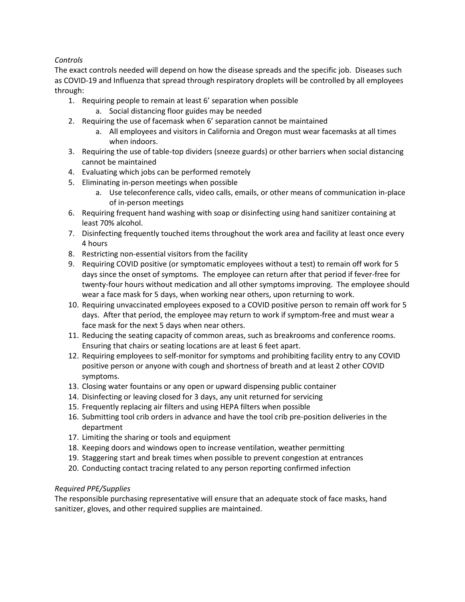## *Controls*

The exact controls needed will depend on how the disease spreads and the specific job. Diseases such as COVID-19 and Influenza that spread through respiratory droplets will be controlled by all employees through:

- 1. Requiring people to remain at least 6' separation when possible a. Social distancing floor guides may be needed
- 2. Requiring the use of facemask when 6' separation cannot be maintained
	- a. All employees and visitors in California and Oregon must wear facemasks at all times when indoors.
- 3. Requiring the use of table-top dividers (sneeze guards) or other barriers when social distancing cannot be maintained
- 4. Evaluating which jobs can be performed remotely
- 5. Eliminating in-person meetings when possible
	- a. Use teleconference calls, video calls, emails, or other means of communication in-place of in-person meetings
- 6. Requiring frequent hand washing with soap or disinfecting using hand sanitizer containing at least 70% alcohol.
- 7. Disinfecting frequently touched items throughout the work area and facility at least once every 4 hours
- 8. Restricting non-essential visitors from the facility
- 9. Requiring COVID positive (or symptomatic employees without a test) to remain off work for 5 days since the onset of symptoms. The employee can return after that period if fever-free for twenty-four hours without medication and all other symptoms improving. The employee should wear a face mask for 5 days, when working near others, upon returning to work.
- 10. Requiring unvaccinated employees exposed to a COVID positive person to remain off work for 5 days. After that period, the employee may return to work if symptom-free and must wear a face mask for the next 5 days when near others.
- 11. Reducing the seating capacity of common areas, such as breakrooms and conference rooms. Ensuring that chairs or seating locations are at least 6 feet apart.
- 12. Requiring employees to self-monitor for symptoms and prohibiting facility entry to any COVID positive person or anyone with cough and shortness of breath and at least 2 other COVID symptoms.
- 13. Closing water fountains or any open or upward dispensing public container
- 14. Disinfecting or leaving closed for 3 days, any unit returned for servicing
- 15. Frequently replacing air filters and using HEPA filters when possible
- 16. Submitting tool crib orders in advance and have the tool crib pre-position deliveries in the department
- 17. Limiting the sharing or tools and equipment
- 18. Keeping doors and windows open to increase ventilation, weather permitting
- 19. Staggering start and break times when possible to prevent congestion at entrances
- 20. Conducting contact tracing related to any person reporting confirmed infection

## *Required PPE/Supplies*

The responsible purchasing representative will ensure that an adequate stock of face masks, hand sanitizer, gloves, and other required supplies are maintained.